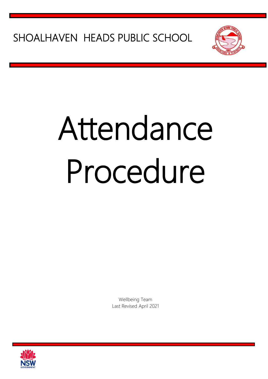SHOALHAVEN HEADS PUBLIC SCHOOL



# Attendance Procedure

Wellbeing Team Last Revised April 2021

SHPSdure

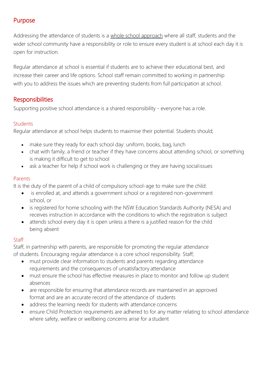# Purpose

Addressing the attendance of students is a whole school approach where all staff, students and the wider school community have a responsibility or role to ensure every student is at school each day it is open for instruction.

Regular attendance at school is essential if students are to achieve their educational best, and increase their career and life options. School staff remain committed to working in partnership with you to address the issues which are preventing students from full participation at school.

# Responsibilities

Supporting positive school attendance is a shared responsibility - everyone has a role.

## **Students**

Regular attendance at school helps students to maximise their potential. Students should;

- make sure they ready for each school day: uniform, books, bag, lunch
- chat with family, a friend or teacher if they have concerns about attending school, or something is making it difficult to get to school
- ask a teacher for help if school work is challenging or they are having social issues

### Parents

It is the duty of the parent of a child of compulsory school-age to make sure the child:

- is enrolled at, and attends a government school or a registered non-government school, or
- is registered for home schooling with the NSW Education Standards Authority (NESA) and receives instruction in accordance with the conditions to which the registration is subject
- attends school every day it is open unless a there is a justified reason for the child being absent

## **Staff**

Staff, in partnership with parents, are responsible for promoting the regular attendance of students. Encouraging regular attendance is a core school responsibility. Staff;

- must provide clear information to students and parents regarding attendance requirements and the consequences of unsatisfactory attendance
- must ensure the school has effective measures in place to monitor and follow up student absences
- are responsible for ensuring that attendance records are maintained in an approved format and are an accurate record of the attendance of students
- address the learning needs for students with attendance concerns
- ensure Child Protection requirements are adhered to for any matter relating to school attendance where safety, welfare or wellbeing concerns arise for a student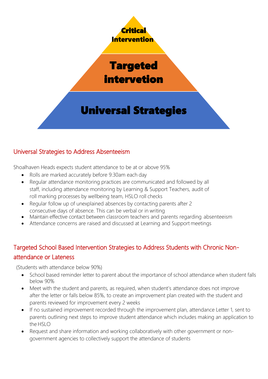

# Targeted intervetion

# Universal Strategies

# Universal Strategies to Address Absenteeism

Shoalhaven Heads expects student attendance to be at or above 95%

- Rolls are marked accurately before 9:30am each day
- Regular attendance monitoring practices are communicated and followed by all staff, including attendance monitoring by Learning & Support Teachers, audit of roll marking processes by wellbeing team, HSLO roll checks
- Regular follow up of unexplained absences by contacting parents after 2 consecutive days of absence. This can be verbal or in writing
- Maintain effective contact between classroom teachers and parents regarding absenteeism
- Attendance concerns are raised and discussed at Learning and Support meetings

# Targeted School Based Intervention Strategies to Address Students with Chronic Nonattendance or Lateness

(Students with attendance below 90%)

- School based reminder letter to parent about the importance of school attendance when student falls below 90%
- Meet with the student and parents, as required, when student's attendance does not improve after the letter or falls below 85%, to create an improvement plan created with the student and parents reviewed for improvement every 2 weeks
- If no sustained improvement recorded through the improvement plan, attendance Letter 1, sent to parents outlining next steps to improve student attendance which includes making an application to the HSLO
- Request and share information and working collaboratively with other government or nongovernment agencies to collectively support the attendance of students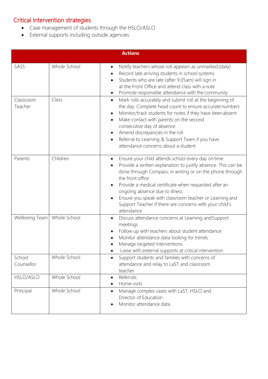# Critical Intervention strategies

- Case management of students through the HSLO/ASLO
- External supports including outside agencies

| <b>Actions</b>       |              |                                                                                                                                                                                                                                                                                                                                                                                                                                    |
|----------------------|--------------|------------------------------------------------------------------------------------------------------------------------------------------------------------------------------------------------------------------------------------------------------------------------------------------------------------------------------------------------------------------------------------------------------------------------------------|
| SASS                 | Whole School | Notify teachers whose roll appears as unmarked (daily)<br>Record late arriving students in school systems<br>Students who are late (after 9.05am) will sign in<br>at the Front Office and attend class with a note<br>Promote responsible attendance with the community                                                                                                                                                            |
| Classroom<br>Teacher | Class        | Mark rolls accurately and submit roll at the beginning of<br>$\bullet$<br>the day. Complete head count to ensure accurate numbers<br>Monitor/track students for notes if they have been absent<br>Make contact with parents on the second<br>consecutive day of absence<br>Amend discrepancies in the roll<br>Referral to Learning & Support Team if you have<br>attendance concerns about a student                               |
| Parents              | Children     | Ensure your child attends school every day on time<br>Provide a written explanation to justify absence. This can be<br>done through Compass, in writing or on the phone through<br>the front office<br>Provide a medical certificate when requested after an<br>ongoing absence due to illness<br>Ensure you speak with classroom teacher or Learning and<br>Support Teacher if there are concerns with your child's<br>attendance |
| Wellbeing Team       | Whole School | Discuss attendance concerns at Learning and Support<br>meetings<br>Follow up with teachers about student attendance<br>Monitor attendance data looking for trends<br>Manage targeted interventions<br>Liaise with external supports at critical intervention                                                                                                                                                                       |
| School<br>Counsellor | Whole School | Support students and families with concerns of<br>attendance and relay to LaST and classroom<br>teacher                                                                                                                                                                                                                                                                                                                            |
| HSLO/ASLO            | Whole School | Referrals<br>Home visits                                                                                                                                                                                                                                                                                                                                                                                                           |
| Principal            | Whole School | Manage complex cases with LaST, HSLO and<br>Director of Education<br>Monitor attendance data                                                                                                                                                                                                                                                                                                                                       |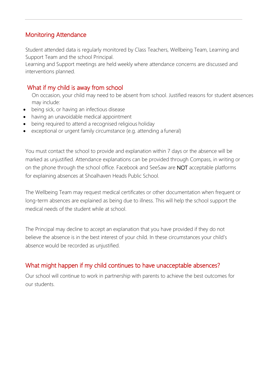# Monitoring Attendance

Student attended data is regularly monitored by Class Teachers, Wellbeing Team, Learning and Support Team and the school Principal.

Learning and Support meetings are held weekly where attendance concerns are discussed and interventions planned.

# What if my child is away from school

On occasion, your child may need to be absent from school. Justified reasons for student absences may include:

- being sick, or having an infectious disease
- having an unavoidable medical appointment
- being required to attend a recognised religious holiday
- exceptional or urgent family circumstance (e.g. attending a funeral)

You must contact the school to provide and explanation within 7 days or the absence will be marked as unjustified. Attendance explanations can be provided through Compass, in writing or on the phone through the school office. Facebook and SeeSaw are NOT acceptable platforms for explaining absences at Shoalhaven Heads Public School.

The Wellbeing Team may request medical certificates or other documentation when frequent or long-term absences are explained as being due to illness. This will help the school support the medical needs of the student while at school.

The Principal may decline to accept an explanation that you have provided if they do not believe the absence is in the best interest of your child. In these circumstances your child's absence would be recorded as unjustified.

# What might happen if my child continues to have unacceptable absences?

Our school will continue to work in partnership with parents to achieve the best outcomes for our students.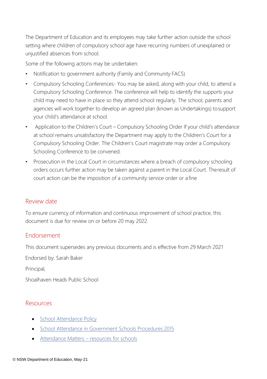The Department of Education and its employees may take further action outside the school setting where children of compulsory school age have recurring numbers of unexplained or unjustified absences from school.

Some of the following actions may be undertaken:

- Notification to government authority (Family and Community FACS)
- Compulsory Schooling Conferences- You may be asked, along with your child, to attend a Compulsory Schooling Conference. The conference will help to identify the supports your child may need to have in place so they attend school regularly. The school, parents and agencies will work together to develop an agreed plan (known as Undertakings) tosupport your child's attendance at school.
- Application to the Children's Court Compulsory Schooling Order If your child's attendance at school remains unsatisfactory the Department may apply to the Children's Court for a Compulsory Schooling Order. The Children's Court magistrate may order a Compulsory Schooling Conference to be convened.
- Prosecution in the Local Court in circumstances where a breach of compulsory schooling orders occurs further action may be taken against a parent in the Local Court. Theresult of court action can be the imposition of a community service order or a fine

### Review date

To ensure currency of information and continuous improvement of school practice, this document is due for review on or before 20 may 2022.

## Endorsement

This document supersedes any previous documents and is effective from 29 March 2021

Endorsed by: Sarah Baker

Principal,

Shoalhaven Heads Public School

### Resources

- **[School Attendance](https://policies.education.nsw.gov.au/policy-library/policies/school-attendance-policy/Student-Attendance-in-Government-Schools-Procedures-2015-word-version.docx.docx) Policy**
- [School Attendance in Government Schools Procedures](https://policies.education.nsw.gov.au/policy-library/policies/school-attendance-policy/Student-Attendance-in-Government-Schools-Procedures-2015-word-version.docx.docx) 2015
- [Attendance Matters](https://education.nsw.gov.au/student-wellbeing/attendance-matters-resources-for-schools/attendance-support-program)  resources for schools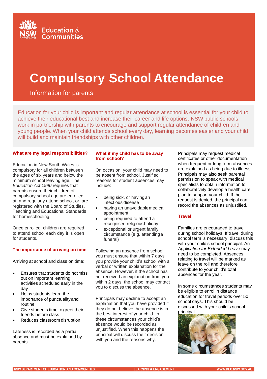

# **Compulsory School Attendance**

Information for parents

Education for your child is important and regular attendance at school is essential for your child to achieve their educational best and increase their career and life options. NSW public schools work in partnership with parents to encourage and support regular attendance of children and young people. When your child attends school every day, learning becomes easier and your child will build and maintain friendships with other children.

#### **What are my legal responsibilities?**

Education in New South Wales is compulsory for all children between the ages of six years and below the minimum school leaving age. The *Education Act 1990* requires that parents ensure their children of compulsory school age are enrolled at, and regularly attend school, or, are registered with the Board of Studies, Teaching and Educational Standards for homeschooling.

Once enrolled, children are required to attend school each day it is open for students.

#### **The importance of arriving on time**

Arriving at school and class on time:

- Ensures that students do not miss out on important learning activities scheduled early in the day
- Helps students learn the importance of punctualityand routine
- Give students time to greet their friends before class
- Reduces classroom disruption

Lateness is recorded as a partial absence and must be explained by parents.

#### **What if my child has to be away from school?**

On occasion, your child may need to be absent from school. Justified reasons for student absences may include:

- being sick, or having an infectious disease
- having an unavoidable medical appointment
- being required to attend a recognised religiousholiday
- exceptional or urgent family circumstance (e.g. attendinga funeral)

Following an absence from school you must ensure that within 7 days you provide your child's school with a verbal or written explanation for the absence. However, if the school has not received an explanation from you within 2 days, the school may contact you to discuss the absence.

Principals may decline to accept an explanation that you have provided if they do not believe the absence is in the best interest of your child. In these circumstances your child's absence would be recorded as unjustified. When this happens the principal will discuss their decision with you and the reasons why.

Principals may request medical certificates or other documentation when frequent or long term absences are explained as being due to illness. Principals may also seek parental permission to speak with medical specialists to obtain information to collaboratively develop a health care plan to support your child. If the request is denied, the principal can record the absences as unjustified.

#### **Travel**

Families are encouraged to travel during school holidays. If travel during school term is necessary, discuss this with your child's school principal. An *Application for Extended Leave* may need to be completed. Absences relating to travel will be marked as leave on the roll and therefore contribute to your child's total absences for the year.

In some circumstances students may be eligible to enrol in distance education for travel periods over 50 school days. This should be discussed with your child's school principal.